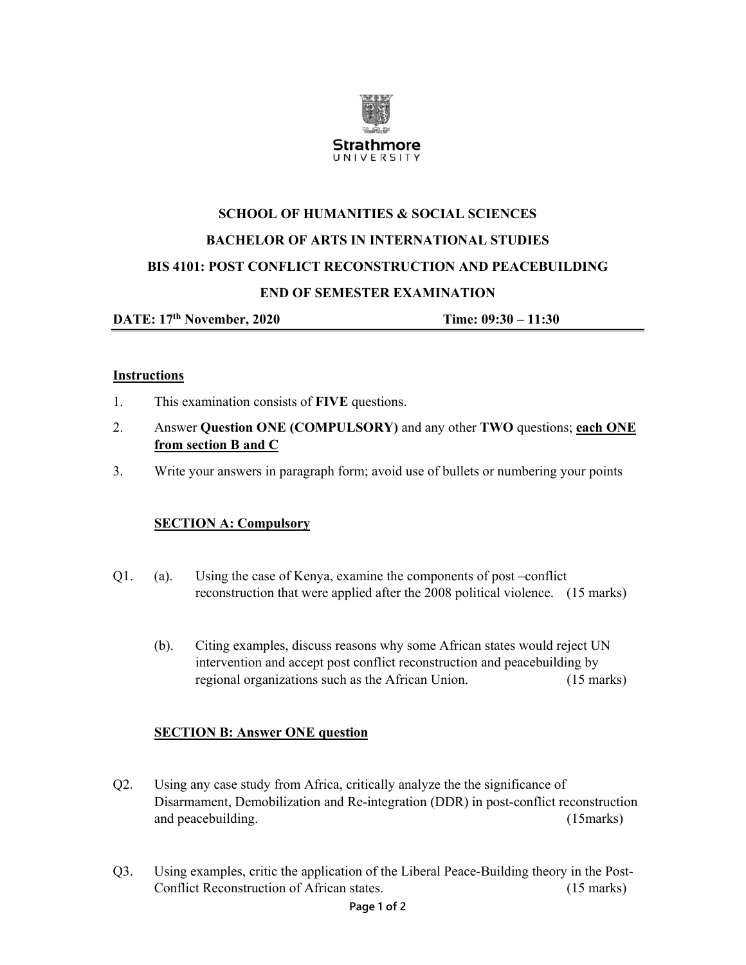

# **SCHOOL OF HUMANITIES & SOCIAL SCIENCES BACHELOR OF ARTS IN INTERNATIONAL STUDIES BIS 4101: POST CONFLICT RECONSTRUCTION AND PEACEBUILDING END OF SEMESTER EXAMINATION**

**DATE: 17th November, 2020 Time: 09:30 – 11:30** 

#### **Instructions**

- 1. This examination consists of **FIVE** questions.
- 2. Answer **Question ONE (COMPULSORY)** and any other **TWO** questions; **each ONE from section B and C**
- 3. Write your answers in paragraph form; avoid use of bullets or numbering your points

#### **SECTION A: Compulsory**

- Q1. (a). Using the case of Kenya, examine the components of post –conflict reconstruction that were applied after the 2008 political violence. (15 marks)
	- (b). Citing examples, discuss reasons why some African states would reject UN intervention and accept post conflict reconstruction and peacebuilding by regional organizations such as the African Union. (15 marks)

## **SECTION B: Answer ONE question**

- Q2. Using any case study from Africa, critically analyze the the significance of Disarmament, Demobilization and Re-integration (DDR) in post-conflict reconstruction and peacebuilding. (15 marks) (15 marks)
- Q3. Using examples, critic the application of the Liberal Peace-Building theory in the Post-Conflict Reconstruction of African states. (15 marks)